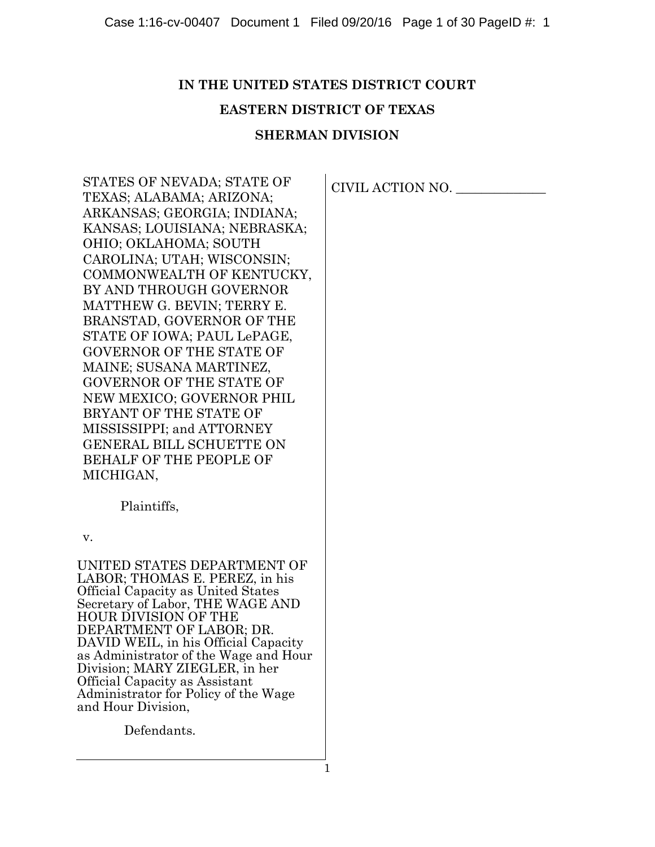# **IN THE UNITED STATES DISTRICT COURT**

# **EASTERN DISTRICT OF TEXAS**

# **SHERMAN DIVISION**

STATES OF NEVADA; STATE OF TEXAS; ALABAMA; ARIZONA; ARKANSAS; GEORGIA; INDIANA; KANSAS; LOUISIANA; NEBRASKA; OHIO; OKLAHOMA; SOUTH CAROLINA; UTAH; WISCONSIN; COMMONWEALTH OF KENTUCKY, BY AND THROUGH GOVERNOR MATTHEW G. BEVIN; TERRY E. BRANSTAD, GOVERNOR OF THE STATE OF IOWA; PAUL LePAGE, GOVERNOR OF THE STATE OF MAINE; SUSANA MARTINEZ, GOVERNOR OF THE STATE OF NEW MEXICO; GOVERNOR PHIL BRYANT OF THE STATE OF MISSISSIPPI; and ATTORNEY GENERAL BILL SCHUETTE ON BEHALF OF THE PEOPLE OF MICHIGAN,

Plaintiffs,

v.

UNITED STATES DEPARTMENT OF LABOR; THOMAS E. PEREZ, in his Official Capacity as United States Secretary of Labor, THE WAGE AND HOUR DIVISION OF THE DEPARTMENT OF LABOR; DR. DAVID WEIL, in his Official Capacity as Administrator of the Wage and Hour Division; MARY ZIEGLER, in her Official Capacity as Assistant Administrator for Policy of the Wage and Hour Division,

Defendants.

CIVIL ACTION NO. \_\_\_\_\_\_\_\_\_\_\_\_\_\_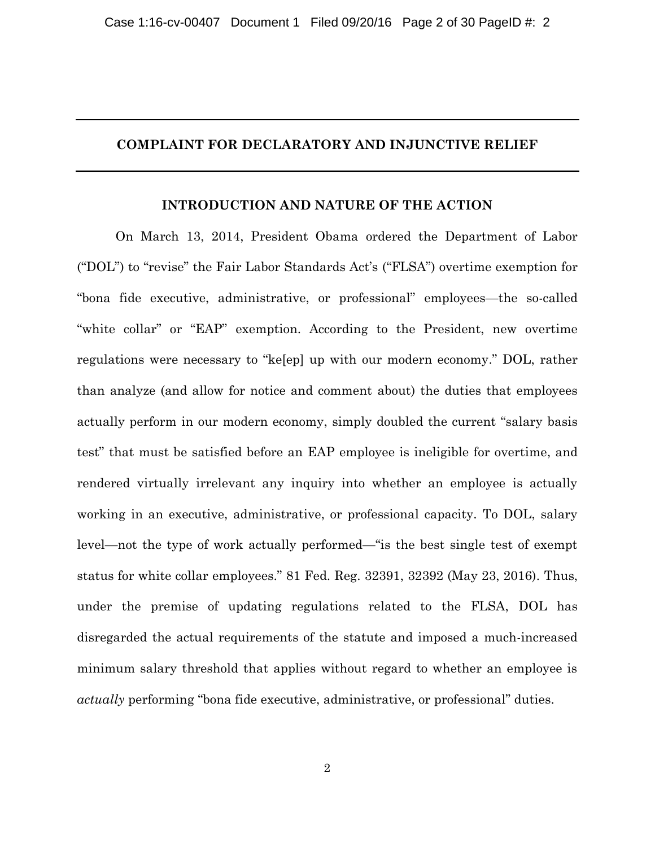# **COMPLAINT FOR DECLARATORY AND INJUNCTIVE RELIEF**

# **INTRODUCTION AND NATURE OF THE ACTION**

On March 13, 2014, President Obama ordered the Department of Labor ("DOL") to "revise" the Fair Labor Standards Act's ("FLSA") overtime exemption for "bona fide executive, administrative, or professional" employees—the so-called "white collar" or "EAP" exemption. According to the President, new overtime regulations were necessary to "ke[ep] up with our modern economy." DOL, rather than analyze (and allow for notice and comment about) the duties that employees actually perform in our modern economy, simply doubled the current "salary basis test" that must be satisfied before an EAP employee is ineligible for overtime, and rendered virtually irrelevant any inquiry into whether an employee is actually working in an executive, administrative, or professional capacity. To DOL, salary level—not the type of work actually performed—"is the best single test of exempt status for white collar employees." 81 Fed. Reg. 32391, 32392 (May 23, 2016). Thus, under the premise of updating regulations related to the FLSA, DOL has disregarded the actual requirements of the statute and imposed a much-increased minimum salary threshold that applies without regard to whether an employee is *actually* performing "bona fide executive, administrative, or professional" duties.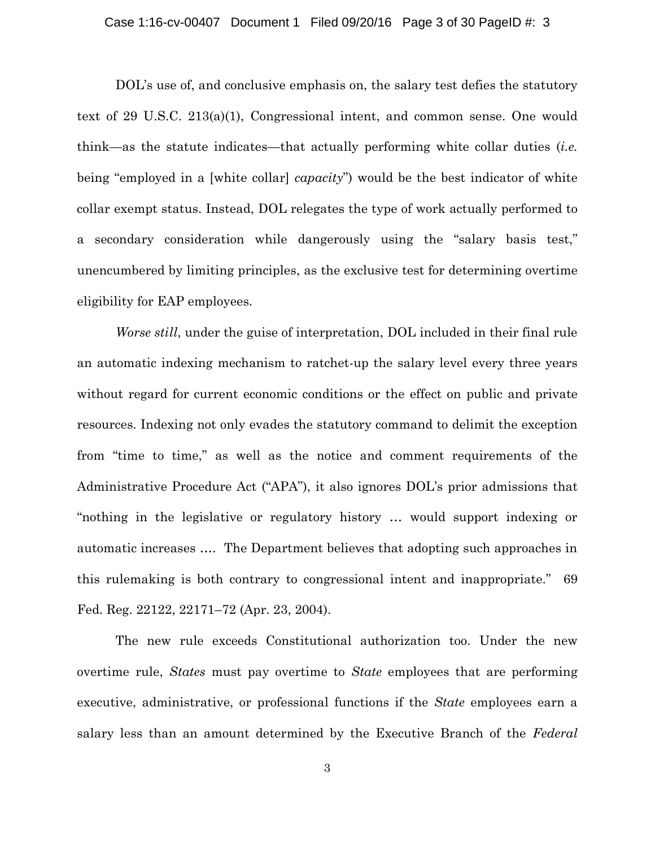DOL's use of, and conclusive emphasis on, the salary test defies the statutory text of 29 U.S.C. 213(a)(1), Congressional intent, and common sense. One would think—as the statute indicates—that actually performing white collar duties (*i.e.* being "employed in a [white collar] *capacity*") would be the best indicator of white collar exempt status. Instead, DOL relegates the type of work actually performed to a secondary consideration while dangerously using the "salary basis test," unencumbered by limiting principles, as the exclusive test for determining overtime eligibility for EAP employees.

*Worse still*, under the guise of interpretation, DOL included in their final rule an automatic indexing mechanism to ratchet-up the salary level every three years without regard for current economic conditions or the effect on public and private resources. Indexing not only evades the statutory command to delimit the exception from "time to time," as well as the notice and comment requirements of the Administrative Procedure Act ("APA"), it also ignores DOL's prior admissions that "nothing in the legislative or regulatory history … would support indexing or automatic increases …. The Department believes that adopting such approaches in this rulemaking is both contrary to congressional intent and inappropriate." 69 Fed. Reg. 22122, 22171–72 (Apr. 23, 2004).

The new rule exceeds Constitutional authorization too. Under the new overtime rule, *States* must pay overtime to *State* employees that are performing executive, administrative, or professional functions if the *State* employees earn a salary less than an amount determined by the Executive Branch of the *Federal*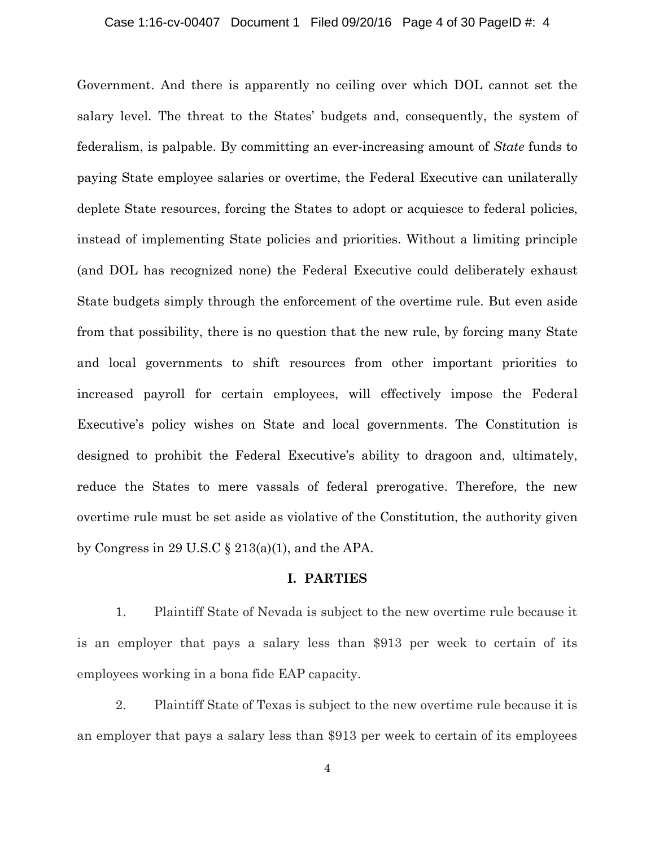#### Case 1:16-cv-00407 Document 1 Filed 09/20/16 Page 4 of 30 PageID #: 4

Government. And there is apparently no ceiling over which DOL cannot set the salary level. The threat to the States' budgets and, consequently, the system of federalism, is palpable. By committing an ever-increasing amount of *State* funds to paying State employee salaries or overtime, the Federal Executive can unilaterally deplete State resources, forcing the States to adopt or acquiesce to federal policies, instead of implementing State policies and priorities. Without a limiting principle (and DOL has recognized none) the Federal Executive could deliberately exhaust State budgets simply through the enforcement of the overtime rule. But even aside from that possibility, there is no question that the new rule, by forcing many State and local governments to shift resources from other important priorities to increased payroll for certain employees, will effectively impose the Federal Executive's policy wishes on State and local governments. The Constitution is designed to prohibit the Federal Executive's ability to dragoon and, ultimately, reduce the States to mere vassals of federal prerogative. Therefore, the new overtime rule must be set aside as violative of the Constitution, the authority given by Congress in 29 U.S.C  $\S 213(a)(1)$ , and the APA.

#### **I. PARTIES**

1. Plaintiff State of Nevada is subject to the new overtime rule because it is an employer that pays a salary less than \$913 per week to certain of its employees working in a bona fide EAP capacity.

2. Plaintiff State of Texas is subject to the new overtime rule because it is an employer that pays a salary less than \$913 per week to certain of its employees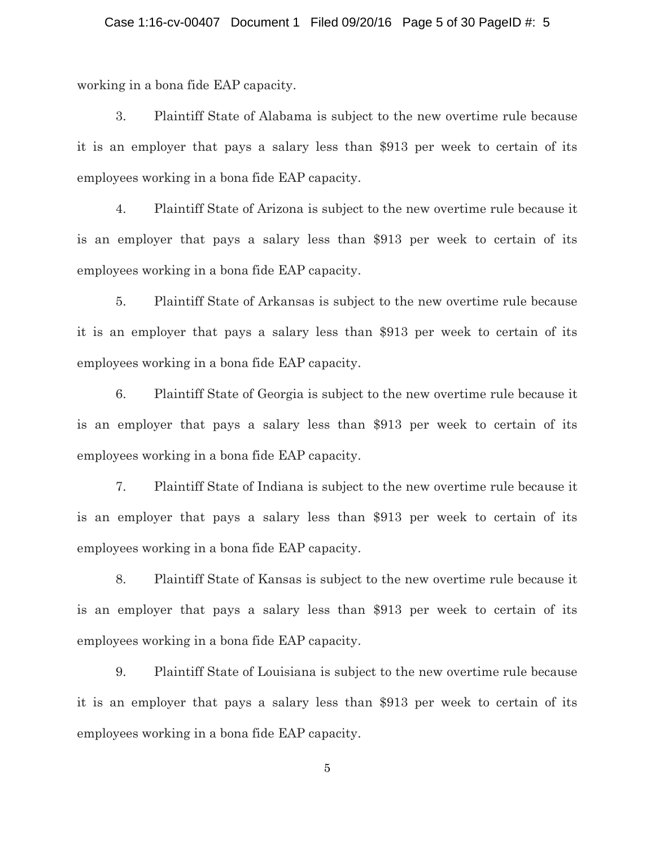working in a bona fide EAP capacity.

3. Plaintiff State of Alabama is subject to the new overtime rule because it is an employer that pays a salary less than \$913 per week to certain of its employees working in a bona fide EAP capacity.

4. Plaintiff State of Arizona is subject to the new overtime rule because it is an employer that pays a salary less than \$913 per week to certain of its employees working in a bona fide EAP capacity.

5. Plaintiff State of Arkansas is subject to the new overtime rule because it is an employer that pays a salary less than \$913 per week to certain of its employees working in a bona fide EAP capacity.

6. Plaintiff State of Georgia is subject to the new overtime rule because it is an employer that pays a salary less than \$913 per week to certain of its employees working in a bona fide EAP capacity.

7. Plaintiff State of Indiana is subject to the new overtime rule because it is an employer that pays a salary less than \$913 per week to certain of its employees working in a bona fide EAP capacity.

8. Plaintiff State of Kansas is subject to the new overtime rule because it is an employer that pays a salary less than \$913 per week to certain of its employees working in a bona fide EAP capacity.

9. Plaintiff State of Louisiana is subject to the new overtime rule because it is an employer that pays a salary less than \$913 per week to certain of its employees working in a bona fide EAP capacity.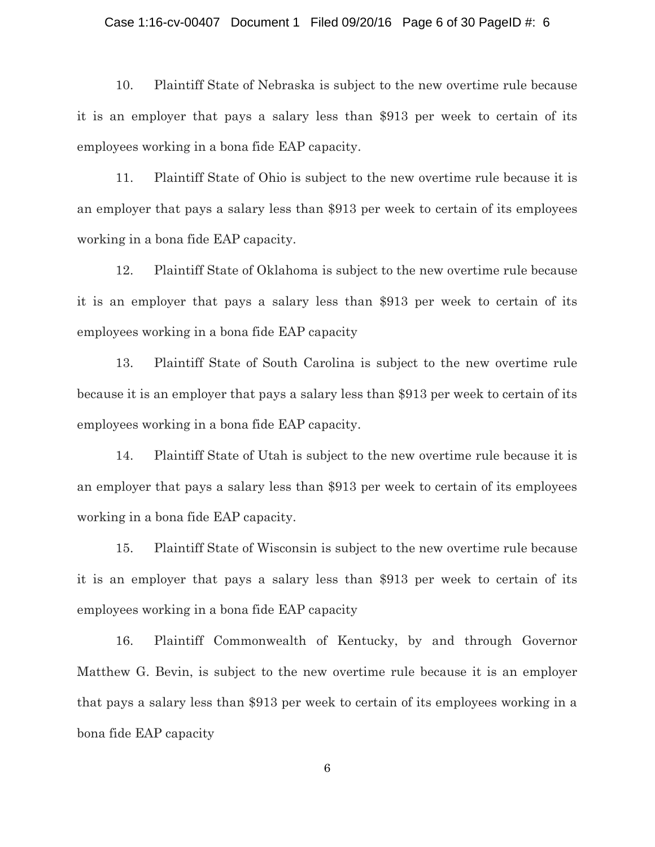#### Case 1:16-cv-00407 Document 1 Filed 09/20/16 Page 6 of 30 PageID #: 6

10. Plaintiff State of Nebraska is subject to the new overtime rule because it is an employer that pays a salary less than \$913 per week to certain of its employees working in a bona fide EAP capacity.

11. Plaintiff State of Ohio is subject to the new overtime rule because it is an employer that pays a salary less than \$913 per week to certain of its employees working in a bona fide EAP capacity.

12. Plaintiff State of Oklahoma is subject to the new overtime rule because it is an employer that pays a salary less than \$913 per week to certain of its employees working in a bona fide EAP capacity

13. Plaintiff State of South Carolina is subject to the new overtime rule because it is an employer that pays a salary less than \$913 per week to certain of its employees working in a bona fide EAP capacity.

14. Plaintiff State of Utah is subject to the new overtime rule because it is an employer that pays a salary less than \$913 per week to certain of its employees working in a bona fide EAP capacity.

15. Plaintiff State of Wisconsin is subject to the new overtime rule because it is an employer that pays a salary less than \$913 per week to certain of its employees working in a bona fide EAP capacity

16. Plaintiff Commonwealth of Kentucky, by and through Governor Matthew G. Bevin, is subject to the new overtime rule because it is an employer that pays a salary less than \$913 per week to certain of its employees working in a bona fide EAP capacity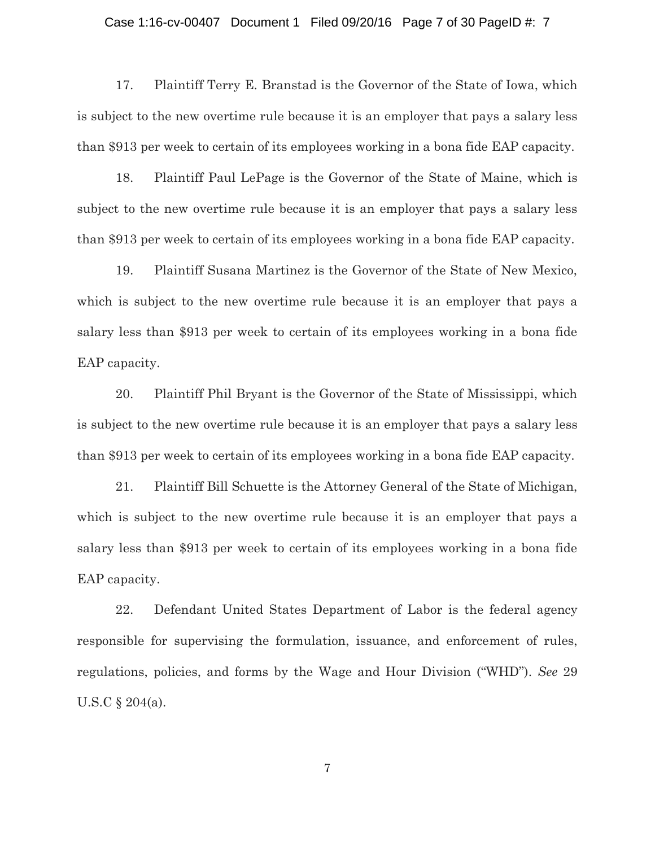#### Case 1:16-cv-00407 Document 1 Filed 09/20/16 Page 7 of 30 PageID #: 7

17. Plaintiff Terry E. Branstad is the Governor of the State of Iowa, which is subject to the new overtime rule because it is an employer that pays a salary less than \$913 per week to certain of its employees working in a bona fide EAP capacity.

18. Plaintiff Paul LePage is the Governor of the State of Maine, which is subject to the new overtime rule because it is an employer that pays a salary less than \$913 per week to certain of its employees working in a bona fide EAP capacity.

19. Plaintiff Susana Martinez is the Governor of the State of New Mexico, which is subject to the new overtime rule because it is an employer that pays a salary less than \$913 per week to certain of its employees working in a bona fide EAP capacity.

20. Plaintiff Phil Bryant is the Governor of the State of Mississippi, which is subject to the new overtime rule because it is an employer that pays a salary less than \$913 per week to certain of its employees working in a bona fide EAP capacity.

21. Plaintiff Bill Schuette is the Attorney General of the State of Michigan, which is subject to the new overtime rule because it is an employer that pays a salary less than \$913 per week to certain of its employees working in a bona fide EAP capacity.

22. Defendant United States Department of Labor is the federal agency responsible for supervising the formulation, issuance, and enforcement of rules, regulations, policies, and forms by the Wage and Hour Division ("WHD"). *See* 29 U.S.C § 204(a).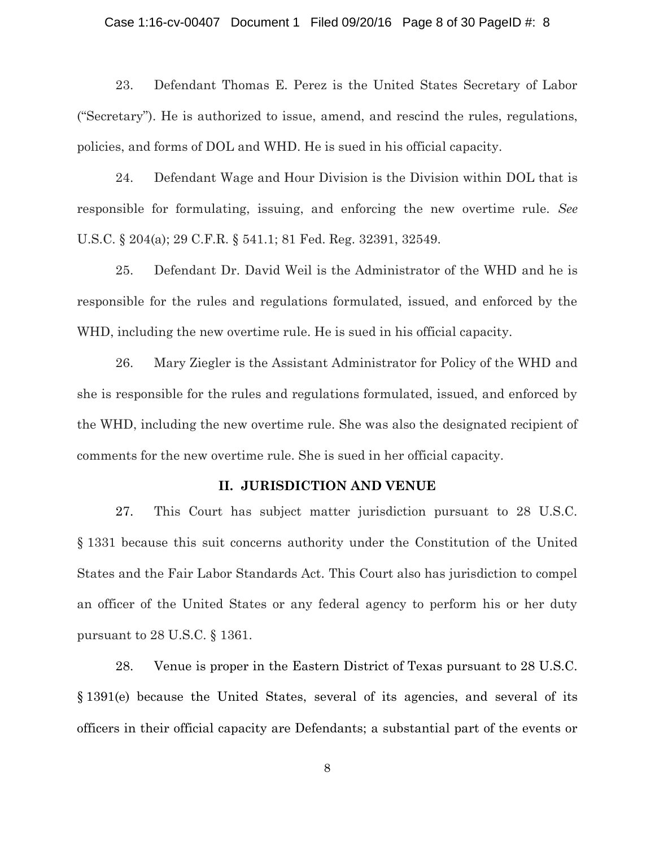#### Case 1:16-cv-00407 Document 1 Filed 09/20/16 Page 8 of 30 PageID #: 8

23. Defendant Thomas E. Perez is the United States Secretary of Labor ("Secretary"). He is authorized to issue, amend, and rescind the rules, regulations, policies, and forms of DOL and WHD. He is sued in his official capacity.

24. Defendant Wage and Hour Division is the Division within DOL that is responsible for formulating, issuing, and enforcing the new overtime rule. *See* U.S.C. § 204(a); 29 C.F.R. § 541.1; 81 Fed. Reg. 32391, 32549.

25. Defendant Dr. David Weil is the Administrator of the WHD and he is responsible for the rules and regulations formulated, issued, and enforced by the WHD, including the new overtime rule. He is sued in his official capacity.

26. Mary Ziegler is the Assistant Administrator for Policy of the WHD and she is responsible for the rules and regulations formulated, issued, and enforced by the WHD, including the new overtime rule. She was also the designated recipient of comments for the new overtime rule. She is sued in her official capacity.

## **II. JURISDICTION AND VENUE**

27. This Court has subject matter jurisdiction pursuant to 28 U.S.C. § 1331 because this suit concerns authority under the Constitution of the United States and the Fair Labor Standards Act. This Court also has jurisdiction to compel an officer of the United States or any federal agency to perform his or her duty pursuant to 28 U.S.C. § 1361.

28. Venue is proper in the Eastern District of Texas pursuant to 28 U.S.C. § 1391(e) because the United States, several of its agencies, and several of its officers in their official capacity are Defendants; a substantial part of the events or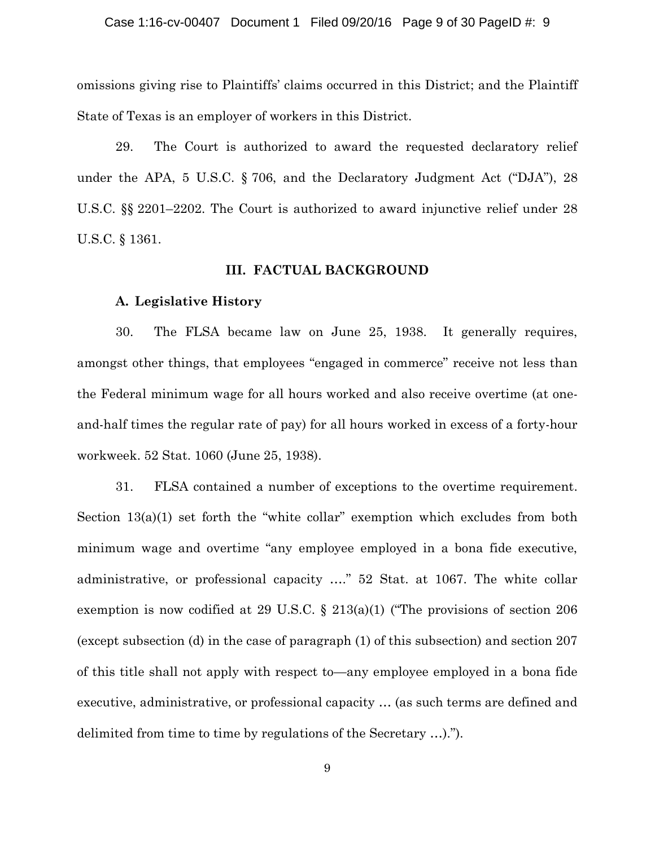omissions giving rise to Plaintiffs' claims occurred in this District; and the Plaintiff State of Texas is an employer of workers in this District.

29. The Court is authorized to award the requested declaratory relief under the APA, 5 U.S.C. § 706, and the Declaratory Judgment Act ("DJA"), 28 U.S.C. §§ 2201–2202. The Court is authorized to award injunctive relief under 28 U.S.C. § 1361.

# **III. FACTUAL BACKGROUND**

### **A. Legislative History**

30. The FLSA became law on June 25, 1938. It generally requires, amongst other things, that employees "engaged in commerce" receive not less than the Federal minimum wage for all hours worked and also receive overtime (at oneand-half times the regular rate of pay) for all hours worked in excess of a forty-hour workweek. 52 Stat. 1060 (June 25, 1938).

31. FLSA contained a number of exceptions to the overtime requirement. Section  $13(a)(1)$  set forth the "white collar" exemption which excludes from both minimum wage and overtime "any employee employed in a bona fide executive, administrative, or professional capacity …." 52 Stat. at 1067. The white collar exemption is now codified at 29 U.S.C. § 213(a)(1) ("The provisions of section 206 (except subsection (d) in the case of paragraph (1) of this subsection) and section 207 of this title shall not apply with respect to—any employee employed in a bona fide executive, administrative, or professional capacity … (as such terms are defined and delimited from time to time by regulations of the Secretary …).").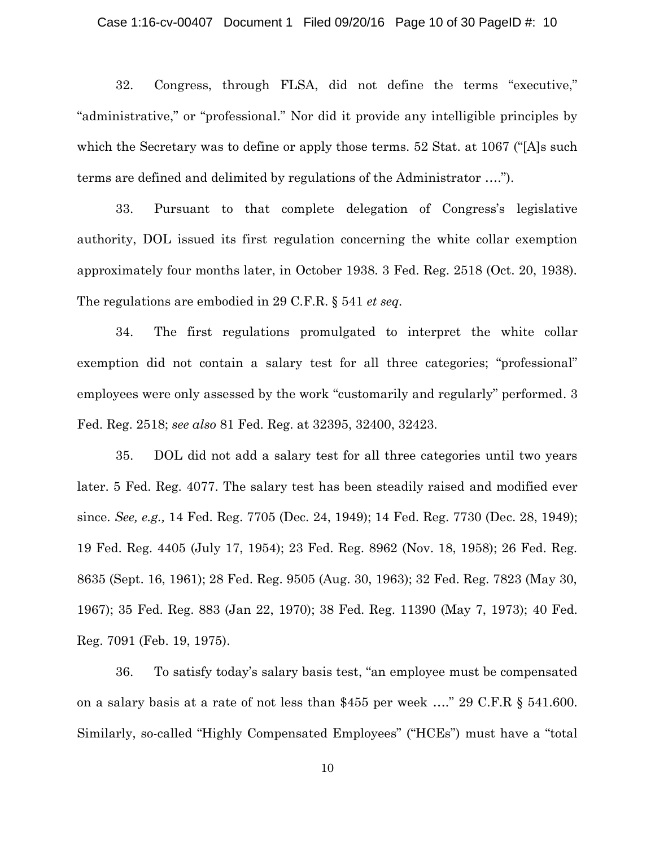32. Congress, through FLSA, did not define the terms "executive," "administrative," or "professional." Nor did it provide any intelligible principles by which the Secretary was to define or apply those terms. 52 Stat. at 1067 ("[A]s such terms are defined and delimited by regulations of the Administrator ….").

33. Pursuant to that complete delegation of Congress's legislative authority, DOL issued its first regulation concerning the white collar exemption approximately four months later, in October 1938. 3 Fed. Reg. 2518 (Oct. 20, 1938). The regulations are embodied in 29 C.F.R. § 541 *et seq.*

34. The first regulations promulgated to interpret the white collar exemption did not contain a salary test for all three categories; "professional" employees were only assessed by the work "customarily and regularly" performed. 3 Fed. Reg. 2518; *see also* 81 Fed. Reg. at 32395, 32400, 32423.

35. DOL did not add a salary test for all three categories until two years later. 5 Fed. Reg. 4077. The salary test has been steadily raised and modified ever since. *See, e.g.,* 14 Fed. Reg. 7705 (Dec. 24, 1949); 14 Fed. Reg. 7730 (Dec. 28, 1949); 19 Fed. Reg. 4405 (July 17, 1954); 23 Fed. Reg. 8962 (Nov. 18, 1958); 26 Fed. Reg. 8635 (Sept. 16, 1961); 28 Fed. Reg. 9505 (Aug. 30, 1963); 32 Fed. Reg. 7823 (May 30, 1967); 35 Fed. Reg. 883 (Jan 22, 1970); 38 Fed. Reg. 11390 (May 7, 1973); 40 Fed. Reg. 7091 (Feb. 19, 1975).

36. To satisfy today's salary basis test, "an employee must be compensated on a salary basis at a rate of not less than \$455 per week …." 29 C.F.R § 541.600. Similarly, so-called "Highly Compensated Employees" ("HCEs") must have a "total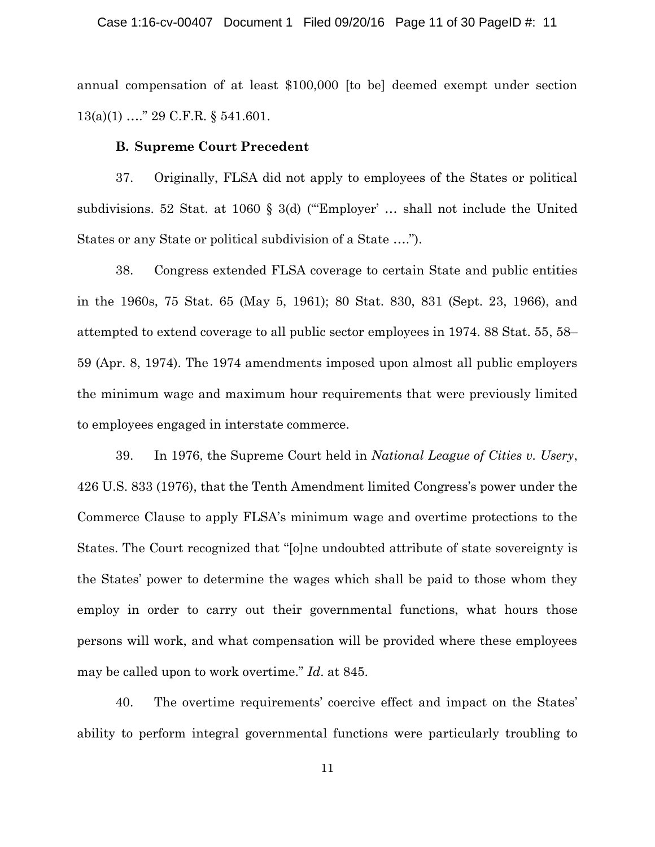annual compensation of at least \$100,000 [to be] deemed exempt under section 13(a)(1) …." 29 C.F.R. § 541.601.

# **B. Supreme Court Precedent**

37. Originally, FLSA did not apply to employees of the States or political subdivisions. 52 Stat. at 1060 § 3(d) ('"Employer' … shall not include the United States or any State or political subdivision of a State ….").

38. Congress extended FLSA coverage to certain State and public entities in the 1960s, 75 Stat. 65 (May 5, 1961); 80 Stat. 830, 831 (Sept. 23, 1966), and attempted to extend coverage to all public sector employees in 1974. 88 Stat. 55, 58– 59 (Apr. 8, 1974). The 1974 amendments imposed upon almost all public employers the minimum wage and maximum hour requirements that were previously limited to employees engaged in interstate commerce.

39. In 1976, the Supreme Court held in *National League of Cities v. Usery*, 426 U.S. 833 (1976), that the Tenth Amendment limited Congress's power under the Commerce Clause to apply FLSA's minimum wage and overtime protections to the States. The Court recognized that "[o]ne undoubted attribute of state sovereignty is the States' power to determine the wages which shall be paid to those whom they employ in order to carry out their governmental functions, what hours those persons will work, and what compensation will be provided where these employees may be called upon to work overtime." *Id*. at 845.

40. The overtime requirements' coercive effect and impact on the States' ability to perform integral governmental functions were particularly troubling to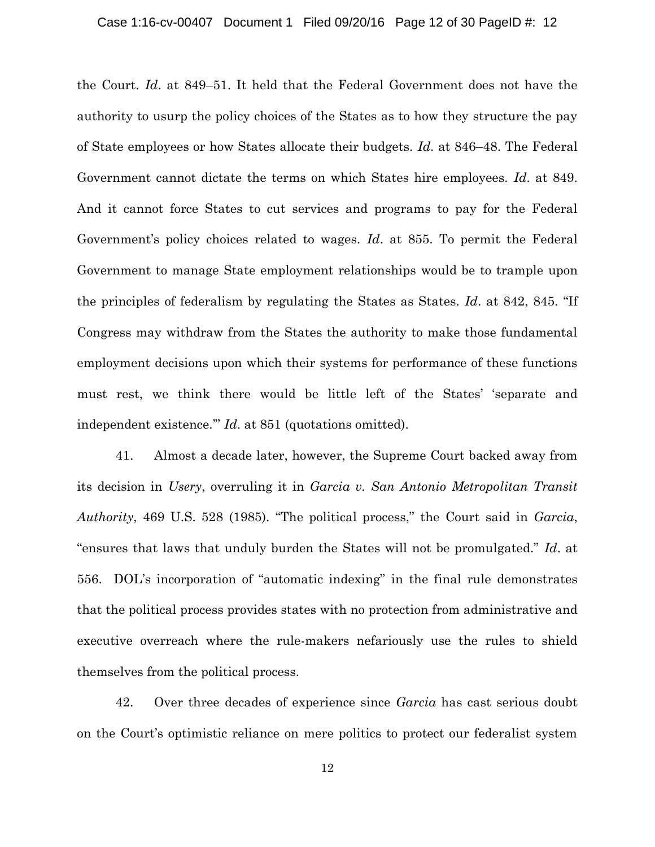#### Case 1:16-cv-00407 Document 1 Filed 09/20/16 Page 12 of 30 PageID #: 12

the Court. *Id*. at 849–51. It held that the Federal Government does not have the authority to usurp the policy choices of the States as to how they structure the pay of State employees or how States allocate their budgets. *Id.* at 846–48. The Federal Government cannot dictate the terms on which States hire employees. *Id*. at 849. And it cannot force States to cut services and programs to pay for the Federal Government's policy choices related to wages. *Id*. at 855. To permit the Federal Government to manage State employment relationships would be to trample upon the principles of federalism by regulating the States as States. *Id*. at 842, 845. "If Congress may withdraw from the States the authority to make those fundamental employment decisions upon which their systems for performance of these functions must rest, we think there would be little left of the States' 'separate and independent existence.'" *Id*. at 851 (quotations omitted).

41. Almost a decade later, however, the Supreme Court backed away from its decision in *Usery*, overruling it in *Garcia v. San Antonio Metropolitan Transit Authority*, 469 U.S. 528 (1985). "The political process," the Court said in *Garcia*, "ensures that laws that unduly burden the States will not be promulgated." *Id*. at 556. DOL's incorporation of "automatic indexing" in the final rule demonstrates that the political process provides states with no protection from administrative and executive overreach where the rule-makers nefariously use the rules to shield themselves from the political process.

42. Over three decades of experience since *Garcia* has cast serious doubt on the Court's optimistic reliance on mere politics to protect our federalist system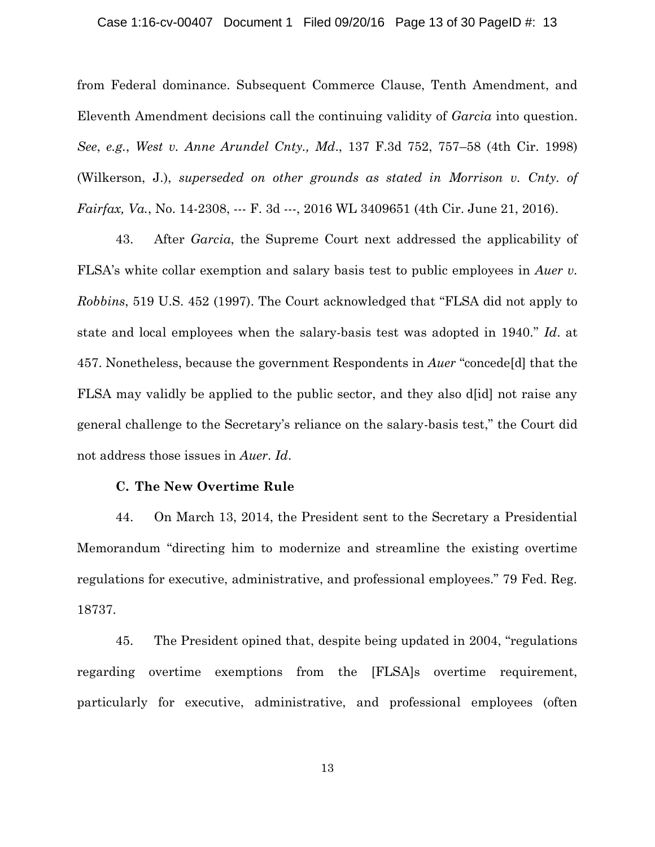#### Case 1:16-cv-00407 Document 1 Filed 09/20/16 Page 13 of 30 PageID #: 13

from Federal dominance. Subsequent Commerce Clause, Tenth Amendment, and Eleventh Amendment decisions call the continuing validity of *Garcia* into question. *See*, *e.g.*, *West v. Anne Arundel Cnty., Md*., 137 F.3d 752, 757–58 (4th Cir. 1998) (Wilkerson, J.), *superseded on other grounds as stated in Morrison v. Cnty. of Fairfax, Va.*, No. 14-2308, --- F. 3d ---, 2016 WL 3409651 (4th Cir. June 21, 2016).

43. After *Garcia*, the Supreme Court next addressed the applicability of FLSA's white collar exemption and salary basis test to public employees in *Auer v. Robbins*, 519 U.S. 452 (1997). The Court acknowledged that "FLSA did not apply to state and local employees when the salary-basis test was adopted in 1940." *Id*. at 457. Nonetheless, because the government Respondents in *Auer* "concede[d] that the FLSA may validly be applied to the public sector, and they also d[id] not raise any general challenge to the Secretary's reliance on the salary-basis test," the Court did not address those issues in *Auer*. *Id*.

#### **C. The New Overtime Rule**

44. On March 13, 2014, the President sent to the Secretary a Presidential Memorandum "directing him to modernize and streamline the existing overtime regulations for executive, administrative, and professional employees." 79 Fed. Reg. 18737.

45. The President opined that, despite being updated in 2004, "regulations regarding overtime exemptions from the [FLSA]s overtime requirement, particularly for executive, administrative, and professional employees (often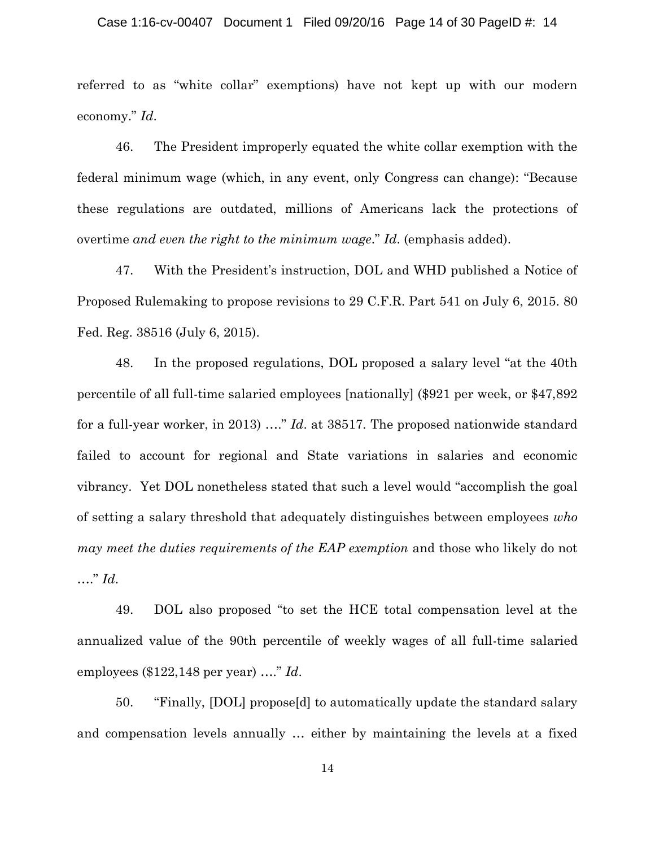#### Case 1:16-cv-00407 Document 1 Filed 09/20/16 Page 14 of 30 PageID #: 14

referred to as "white collar" exemptions) have not kept up with our modern economy." *Id*.

46. The President improperly equated the white collar exemption with the federal minimum wage (which, in any event, only Congress can change): "Because these regulations are outdated, millions of Americans lack the protections of overtime *and even the right to the minimum wage*." *Id*. (emphasis added).

47. With the President's instruction, DOL and WHD published a Notice of Proposed Rulemaking to propose revisions to 29 C.F.R. Part 541 on July 6, 2015. 80 Fed. Reg. 38516 (July 6, 2015).

48. In the proposed regulations, DOL proposed a salary level "at the 40th percentile of all full-time salaried employees [nationally] (\$921 per week, or \$47,892 for a full-year worker, in 2013) …." *Id*. at 38517. The proposed nationwide standard failed to account for regional and State variations in salaries and economic vibrancy. Yet DOL nonetheless stated that such a level would "accomplish the goal of setting a salary threshold that adequately distinguishes between employees *who may meet the duties requirements of the EAP exemption* and those who likely do not …." *Id*.

49. DOL also proposed "to set the HCE total compensation level at the annualized value of the 90th percentile of weekly wages of all full-time salaried employees (\$122,148 per year) …." *Id*.

50. "Finally, [DOL] propose[d] to automatically update the standard salary and compensation levels annually … either by maintaining the levels at a fixed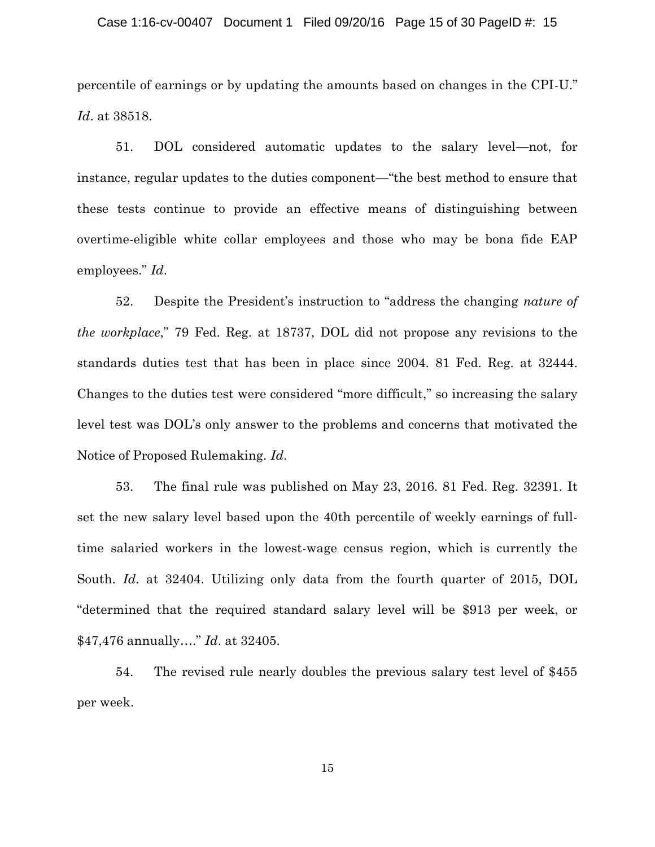#### Case 1:16-cv-00407 Document 1 Filed 09/20/16 Page 15 of 30 PageID #: 15

percentile of earnings or by updating the amounts based on changes in the CPI-U." *Id*. at 38518.

51. DOL considered automatic updates to the salary level—not, for instance, regular updates to the duties component—"the best method to ensure that these tests continue to provide an effective means of distinguishing between overtime-eligible white collar employees and those who may be bona fide EAP employees." *Id*.

52. Despite the President's instruction to "address the changing *nature of the workplace*," 79 Fed. Reg. at 18737, DOL did not propose any revisions to the standards duties test that has been in place since 2004. 81 Fed. Reg. at 32444. Changes to the duties test were considered "more difficult," so increasing the salary level test was DOL's only answer to the problems and concerns that motivated the Notice of Proposed Rulemaking. *Id*.

53. The final rule was published on May 23, 2016. 81 Fed. Reg. 32391. It set the new salary level based upon the 40th percentile of weekly earnings of fulltime salaried workers in the lowest-wage census region, which is currently the South. *Id*. at 32404. Utilizing only data from the fourth quarter of 2015, DOL "determined that the required standard salary level will be \$913 per week, or \$47,476 annually…." *Id*. at 32405.

54. The revised rule nearly doubles the previous salary test level of \$455 per week.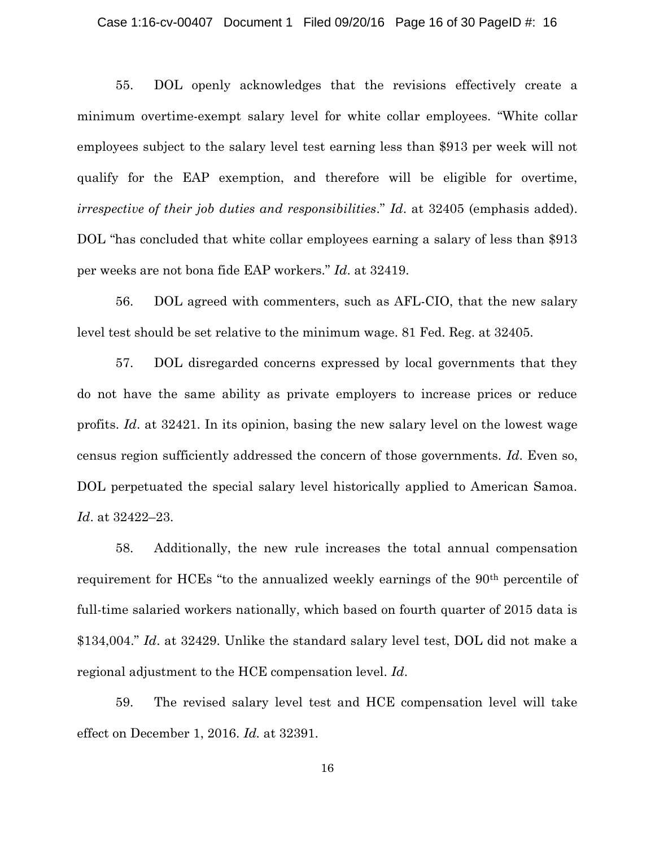#### Case 1:16-cv-00407 Document 1 Filed 09/20/16 Page 16 of 30 PageID #: 16

55. DOL openly acknowledges that the revisions effectively create a minimum overtime-exempt salary level for white collar employees. "White collar employees subject to the salary level test earning less than \$913 per week will not qualify for the EAP exemption, and therefore will be eligible for overtime, *irrespective of their job duties and responsibilities*." *Id*. at 32405 (emphasis added). DOL "has concluded that white collar employees earning a salary of less than \$913 per weeks are not bona fide EAP workers." *Id*. at 32419.

56. DOL agreed with commenters, such as AFL-CIO, that the new salary level test should be set relative to the minimum wage. 81 Fed. Reg. at 32405.

57. DOL disregarded concerns expressed by local governments that they do not have the same ability as private employers to increase prices or reduce profits. *Id*. at 32421. In its opinion, basing the new salary level on the lowest wage census region sufficiently addressed the concern of those governments. *Id*. Even so, DOL perpetuated the special salary level historically applied to American Samoa. *Id*. at 32422–23.

58. Additionally, the new rule increases the total annual compensation requirement for HCEs "to the annualized weekly earnings of the 90<sup>th</sup> percentile of full-time salaried workers nationally, which based on fourth quarter of 2015 data is \$134,004." *Id*. at 32429. Unlike the standard salary level test, DOL did not make a regional adjustment to the HCE compensation level. *Id*.

59. The revised salary level test and HCE compensation level will take effect on December 1, 2016. *Id.* at 32391.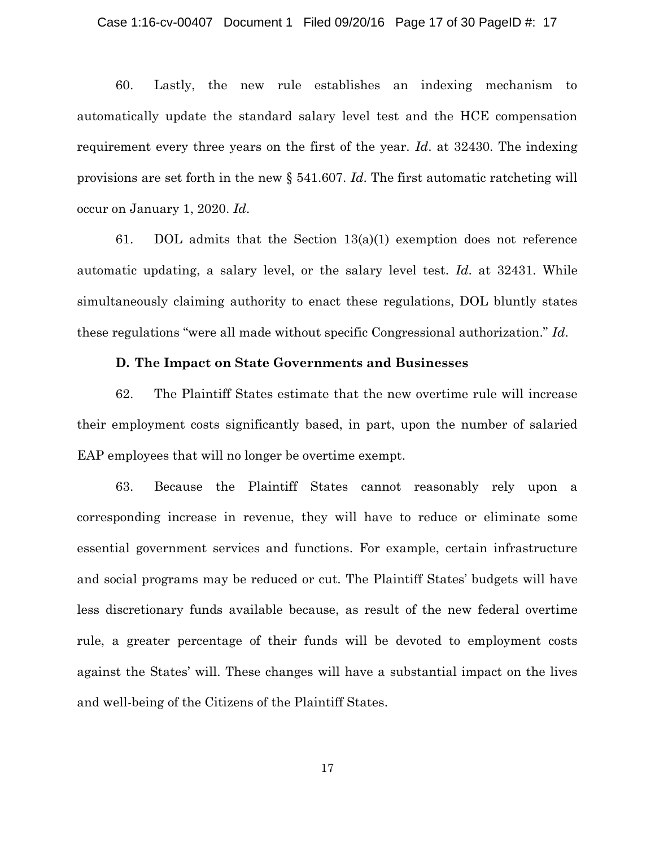60. Lastly, the new rule establishes an indexing mechanism to automatically update the standard salary level test and the HCE compensation requirement every three years on the first of the year. *Id*. at 32430. The indexing provisions are set forth in the new § 541.607. *Id*. The first automatic ratcheting will occur on January 1, 2020. *Id*.

61. DOL admits that the Section  $13(a)(1)$  exemption does not reference automatic updating, a salary level, or the salary level test. *Id*. at 32431. While simultaneously claiming authority to enact these regulations, DOL bluntly states these regulations "were all made without specific Congressional authorization." *Id*.

#### **D. The Impact on State Governments and Businesses**

62. The Plaintiff States estimate that the new overtime rule will increase their employment costs significantly based, in part, upon the number of salaried EAP employees that will no longer be overtime exempt.

63. Because the Plaintiff States cannot reasonably rely upon a corresponding increase in revenue, they will have to reduce or eliminate some essential government services and functions. For example, certain infrastructure and social programs may be reduced or cut. The Plaintiff States' budgets will have less discretionary funds available because, as result of the new federal overtime rule, a greater percentage of their funds will be devoted to employment costs against the States' will. These changes will have a substantial impact on the lives and well-being of the Citizens of the Plaintiff States.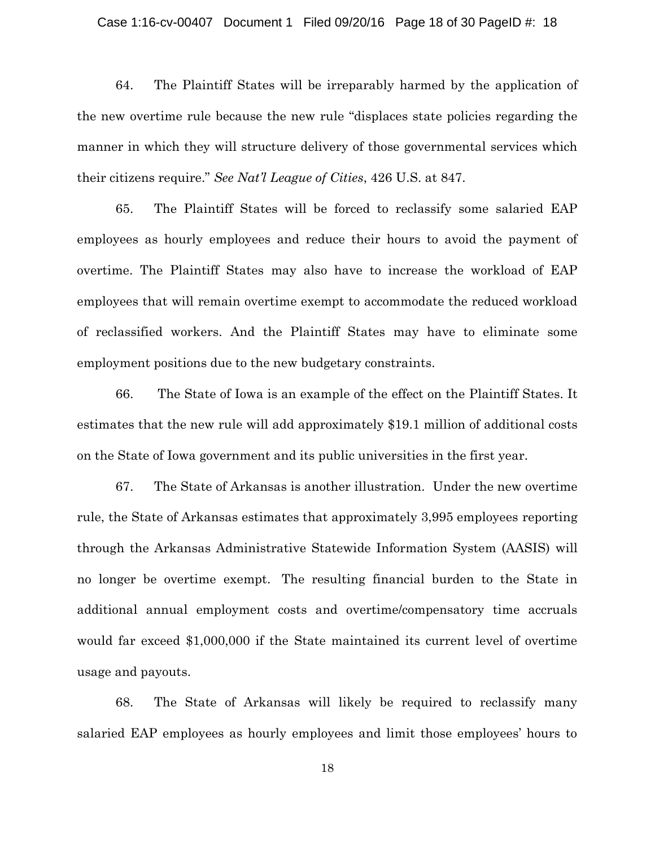#### Case 1:16-cv-00407 Document 1 Filed 09/20/16 Page 18 of 30 PageID #: 18

64. The Plaintiff States will be irreparably harmed by the application of the new overtime rule because the new rule "displaces state policies regarding the manner in which they will structure delivery of those governmental services which their citizens require." *See Nat'l League of Cities*, 426 U.S. at 847.

65. The Plaintiff States will be forced to reclassify some salaried EAP employees as hourly employees and reduce their hours to avoid the payment of overtime. The Plaintiff States may also have to increase the workload of EAP employees that will remain overtime exempt to accommodate the reduced workload of reclassified workers. And the Plaintiff States may have to eliminate some employment positions due to the new budgetary constraints.

66. The State of Iowa is an example of the effect on the Plaintiff States. It estimates that the new rule will add approximately \$19.1 million of additional costs on the State of Iowa government and its public universities in the first year.

67. The State of Arkansas is another illustration. Under the new overtime rule, the State of Arkansas estimates that approximately 3,995 employees reporting through the Arkansas Administrative Statewide Information System (AASIS) will no longer be overtime exempt. The resulting financial burden to the State in additional annual employment costs and overtime/compensatory time accruals would far exceed \$1,000,000 if the State maintained its current level of overtime usage and payouts.

68. The State of Arkansas will likely be required to reclassify many salaried EAP employees as hourly employees and limit those employees' hours to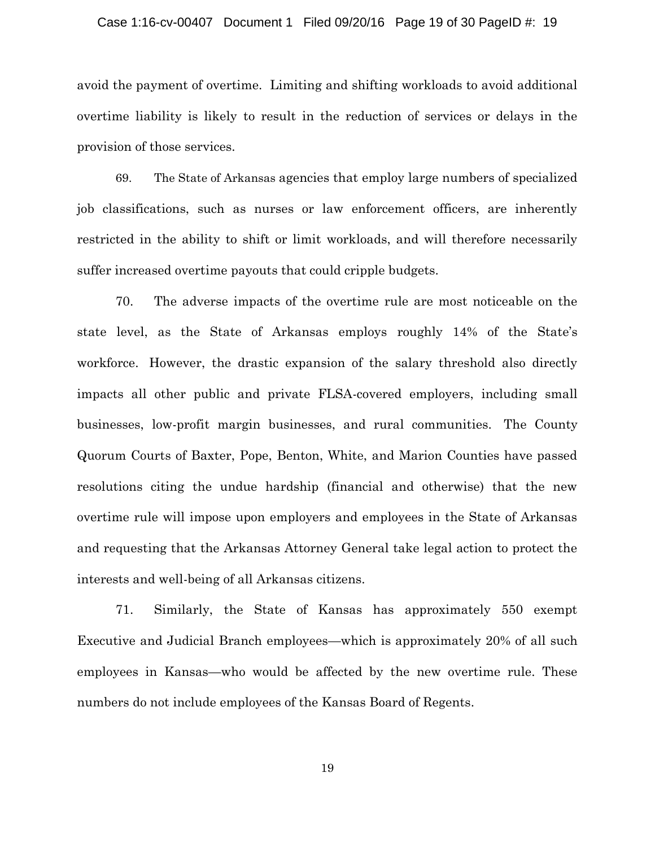#### Case 1:16-cv-00407 Document 1 Filed 09/20/16 Page 19 of 30 PageID #: 19

avoid the payment of overtime. Limiting and shifting workloads to avoid additional overtime liability is likely to result in the reduction of services or delays in the provision of those services.

69. The State of Arkansas agencies that employ large numbers of specialized job classifications, such as nurses or law enforcement officers, are inherently restricted in the ability to shift or limit workloads, and will therefore necessarily suffer increased overtime payouts that could cripple budgets.

70. The adverse impacts of the overtime rule are most noticeable on the state level, as the State of Arkansas employs roughly 14% of the State's workforce. However, the drastic expansion of the salary threshold also directly impacts all other public and private FLSA-covered employers, including small businesses, low-profit margin businesses, and rural communities. The County Quorum Courts of Baxter, Pope, Benton, White, and Marion Counties have passed resolutions citing the undue hardship (financial and otherwise) that the new overtime rule will impose upon employers and employees in the State of Arkansas and requesting that the Arkansas Attorney General take legal action to protect the interests and well-being of all Arkansas citizens.

71. Similarly, the State of Kansas has approximately 550 exempt Executive and Judicial Branch employees—which is approximately 20% of all such employees in Kansas—who would be affected by the new overtime rule. These numbers do not include employees of the Kansas Board of Regents.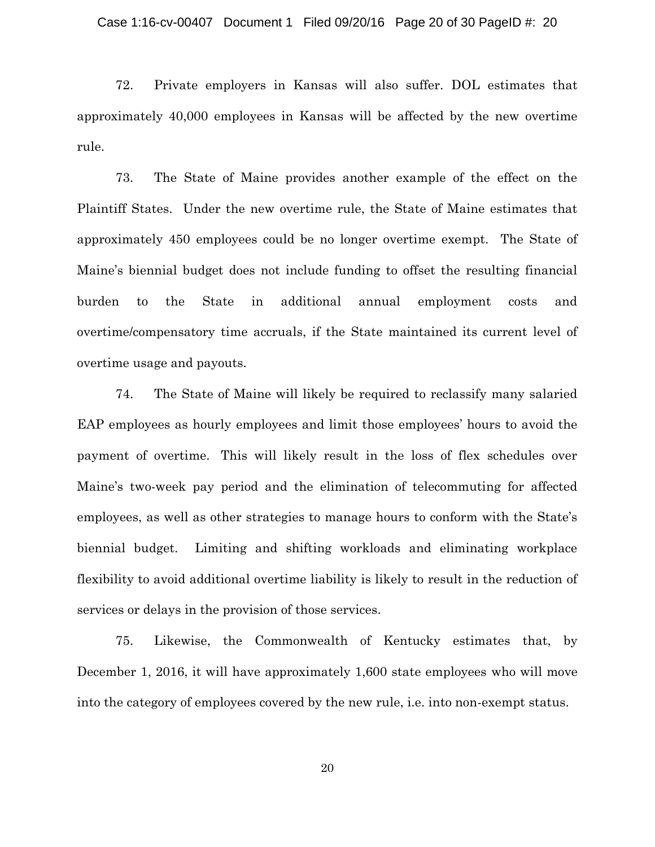72. Private employers in Kansas will also suffer. DOL estimates that approximately 40,000 employees in Kansas will be affected by the new overtime rule.

73. The State of Maine provides another example of the effect on the Plaintiff States. Under the new overtime rule, the State of Maine estimates that approximately 450 employees could be no longer overtime exempt. The State of Maine's biennial budget does not include funding to offset the resulting financial burden to the State in additional annual employment costs and overtime/compensatory time accruals, if the State maintained its current level of overtime usage and payouts.

74. The State of Maine will likely be required to reclassify many salaried EAP employees as hourly employees and limit those employees' hours to avoid the payment of overtime. This will likely result in the loss of flex schedules over Maine's two-week pay period and the elimination of telecommuting for affected employees, as well as other strategies to manage hours to conform with the State's biennial budget. Limiting and shifting workloads and eliminating workplace flexibility to avoid additional overtime liability is likely to result in the reduction of services or delays in the provision of those services.

75. Likewise, the Commonwealth of Kentucky estimates that, by December 1, 2016, it will have approximately 1,600 state employees who will move into the category of employees covered by the new rule, i.e. into non-exempt status.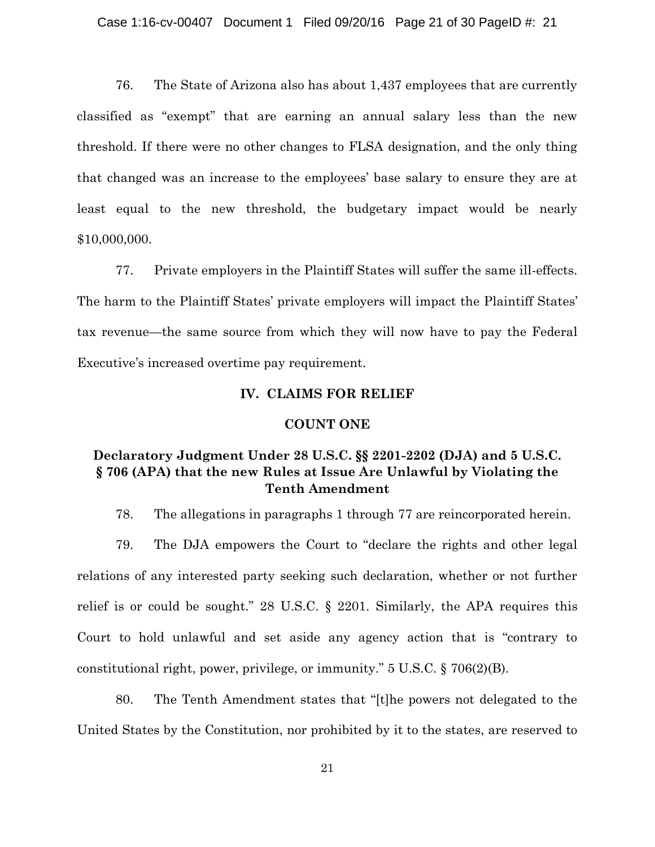76. The State of Arizona also has about 1,437 employees that are currently classified as "exempt" that are earning an annual salary less than the new threshold. If there were no other changes to FLSA designation, and the only thing that changed was an increase to the employees' base salary to ensure they are at least equal to the new threshold, the budgetary impact would be nearly \$10,000,000.

77. Private employers in the Plaintiff States will suffer the same ill-effects. The harm to the Plaintiff States' private employers will impact the Plaintiff States' tax revenue—the same source from which they will now have to pay the Federal Executive's increased overtime pay requirement.

# **IV. CLAIMS FOR RELIEF**

### **COUNT ONE**

# **Declaratory Judgment Under 28 U.S.C. §§ 2201-2202 (DJA) and 5 U.S.C. § 706 (APA) that the new Rules at Issue Are Unlawful by Violating the Tenth Amendment**

78. The allegations in paragraphs 1 through 77 are reincorporated herein.

79. The DJA empowers the Court to "declare the rights and other legal relations of any interested party seeking such declaration, whether or not further relief is or could be sought." 28 U.S.C. § 2201. Similarly, the APA requires this Court to hold unlawful and set aside any agency action that is "contrary to constitutional right, power, privilege, or immunity."  $5 \text{ U.S.C.} \$   $706(2)(B)$ .

80. The Tenth Amendment states that "[t]he powers not delegated to the United States by the Constitution, nor prohibited by it to the states, are reserved to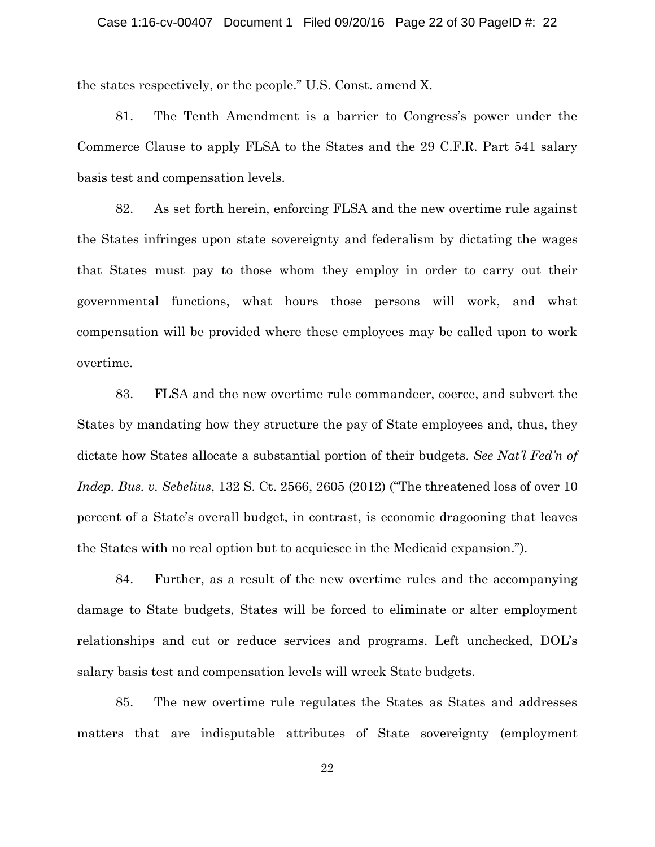the states respectively, or the people." U.S. Const. amend X.

81. The Tenth Amendment is a barrier to Congress's power under the Commerce Clause to apply FLSA to the States and the 29 C.F.R. Part 541 salary basis test and compensation levels.

82. As set forth herein, enforcing FLSA and the new overtime rule against the States infringes upon state sovereignty and federalism by dictating the wages that States must pay to those whom they employ in order to carry out their governmental functions, what hours those persons will work, and what compensation will be provided where these employees may be called upon to work overtime.

83. FLSA and the new overtime rule commandeer, coerce, and subvert the States by mandating how they structure the pay of State employees and, thus, they dictate how States allocate a substantial portion of their budgets. *See Nat'l Fed'n of Indep. Bus. v. Sebelius*, 132 S. Ct. 2566, 2605 (2012) ("The threatened loss of over 10 percent of a State's overall budget, in contrast, is economic dragooning that leaves the States with no real option but to acquiesce in the Medicaid expansion.").

84. Further, as a result of the new overtime rules and the accompanying damage to State budgets, States will be forced to eliminate or alter employment relationships and cut or reduce services and programs. Left unchecked, DOL's salary basis test and compensation levels will wreck State budgets.

85. The new overtime rule regulates the States as States and addresses matters that are indisputable attributes of State sovereignty (employment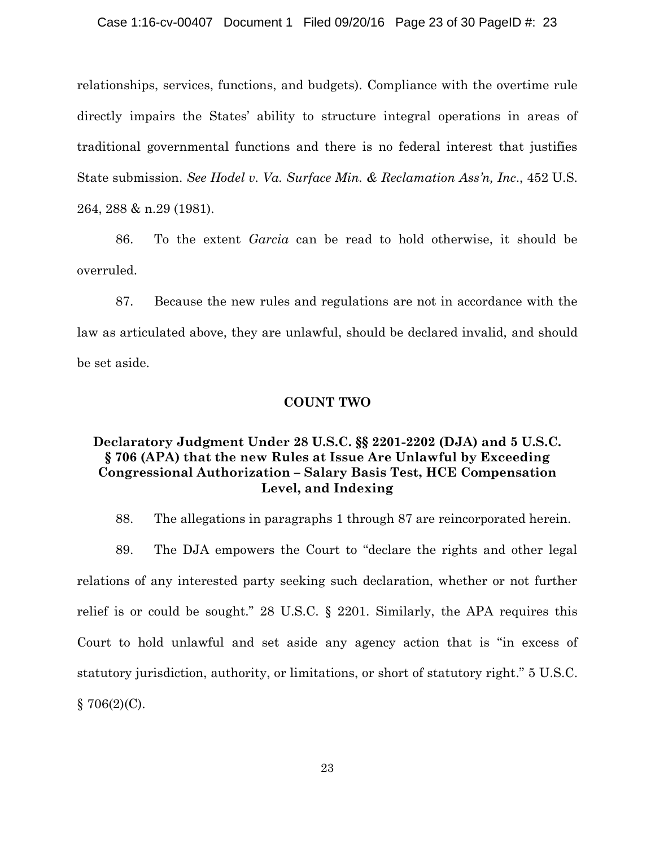relationships, services, functions, and budgets). Compliance with the overtime rule directly impairs the States' ability to structure integral operations in areas of traditional governmental functions and there is no federal interest that justifies State submission. *See Hodel v. Va. Surface Min. & Reclamation Ass'n, Inc*., 452 U.S. 264, 288 & n.29 (1981).

86. To the extent *Garcia* can be read to hold otherwise, it should be overruled.

87. Because the new rules and regulations are not in accordance with the law as articulated above, they are unlawful, should be declared invalid, and should be set aside.

# **COUNT TWO**

# **Declaratory Judgment Under 28 U.S.C. §§ 2201-2202 (DJA) and 5 U.S.C. § 706 (APA) that the new Rules at Issue Are Unlawful by Exceeding Congressional Authorization – Salary Basis Test, HCE Compensation Level, and Indexing**

88. The allegations in paragraphs 1 through 87 are reincorporated herein.

89. The DJA empowers the Court to "declare the rights and other legal relations of any interested party seeking such declaration, whether or not further relief is or could be sought." 28 U.S.C. § 2201. Similarly, the APA requires this Court to hold unlawful and set aside any agency action that is "in excess of statutory jurisdiction, authority, or limitations, or short of statutory right." 5 U.S.C.  $$706(2)(C)$ .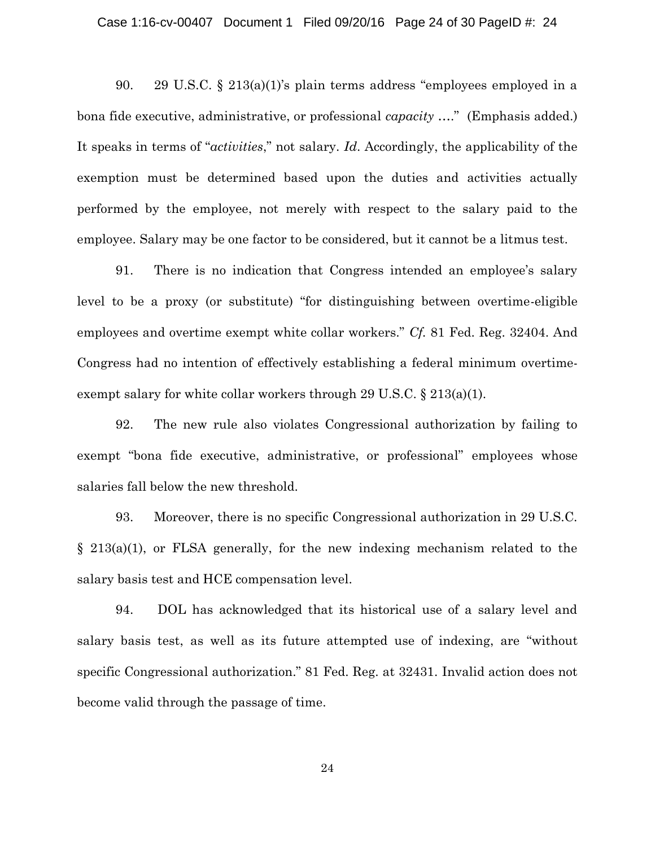90. 29 U.S.C. § 213(a)(1)'s plain terms address "employees employed in a bona fide executive, administrative, or professional *capacity* …." (Emphasis added.) It speaks in terms of "*activities*," not salary. *Id*. Accordingly, the applicability of the exemption must be determined based upon the duties and activities actually performed by the employee, not merely with respect to the salary paid to the employee. Salary may be one factor to be considered, but it cannot be a litmus test.

91. There is no indication that Congress intended an employee's salary level to be a proxy (or substitute) "for distinguishing between overtime-eligible employees and overtime exempt white collar workers." *Cf.* 81 Fed. Reg. 32404. And Congress had no intention of effectively establishing a federal minimum overtimeexempt salary for white collar workers through 29 U.S.C. § 213(a)(1).

92. The new rule also violates Congressional authorization by failing to exempt "bona fide executive, administrative, or professional" employees whose salaries fall below the new threshold.

93. Moreover, there is no specific Congressional authorization in 29 U.S.C. § 213(a)(1), or FLSA generally, for the new indexing mechanism related to the salary basis test and HCE compensation level.

94. DOL has acknowledged that its historical use of a salary level and salary basis test, as well as its future attempted use of indexing, are "without specific Congressional authorization." 81 Fed. Reg. at 32431. Invalid action does not become valid through the passage of time.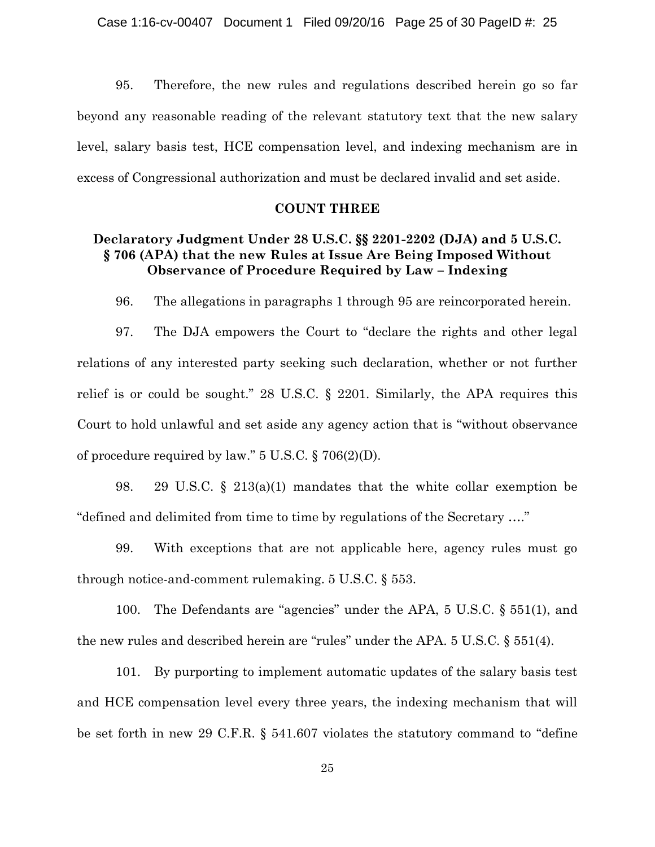95. Therefore, the new rules and regulations described herein go so far beyond any reasonable reading of the relevant statutory text that the new salary level, salary basis test, HCE compensation level, and indexing mechanism are in excess of Congressional authorization and must be declared invalid and set aside.

## **COUNT THREE**

# **Declaratory Judgment Under 28 U.S.C. §§ 2201-2202 (DJA) and 5 U.S.C. § 706 (APA) that the new Rules at Issue Are Being Imposed Without Observance of Procedure Required by Law – Indexing**

96. The allegations in paragraphs 1 through 95 are reincorporated herein.

97. The DJA empowers the Court to "declare the rights and other legal relations of any interested party seeking such declaration, whether or not further relief is or could be sought." 28 U.S.C. § 2201. Similarly, the APA requires this Court to hold unlawful and set aside any agency action that is "without observance of procedure required by law." 5 U.S.C. § 706(2)(D).

98. 29 U.S.C. § 213(a)(1) mandates that the white collar exemption be "defined and delimited from time to time by regulations of the Secretary …."

99. With exceptions that are not applicable here, agency rules must go through notice-and-comment rulemaking. 5 U.S.C. § 553.

100. The Defendants are "agencies" under the APA, 5 U.S.C. § 551(1), and the new rules and described herein are "rules" under the APA. 5 U.S.C. § 551(4).

101. By purporting to implement automatic updates of the salary basis test and HCE compensation level every three years, the indexing mechanism that will be set forth in new 29 C.F.R. § 541.607 violates the statutory command to "define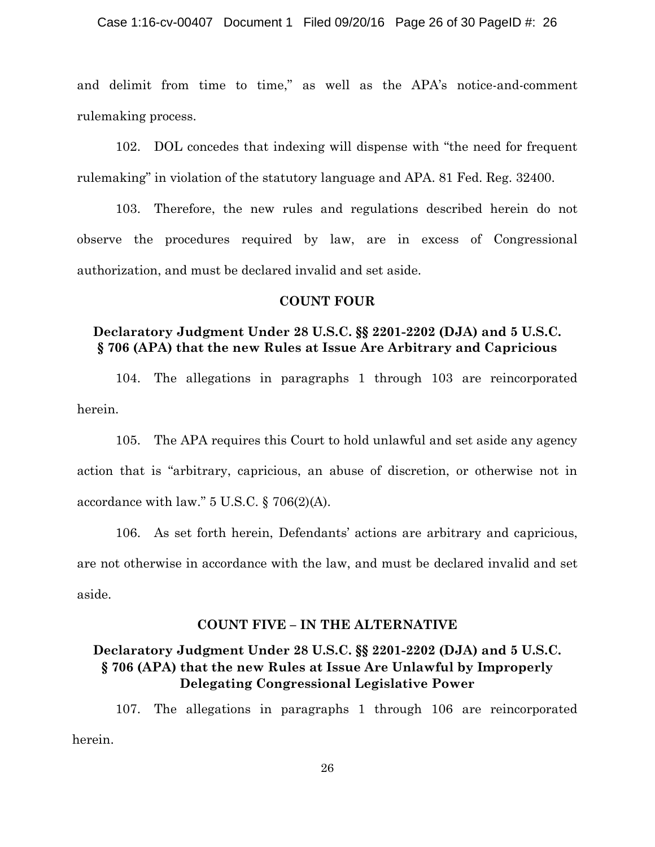and delimit from time to time," as well as the APA's notice-and-comment rulemaking process.

102. DOL concedes that indexing will dispense with "the need for frequent rulemaking" in violation of the statutory language and APA. 81 Fed. Reg. 32400.

103. Therefore, the new rules and regulations described herein do not observe the procedures required by law, are in excess of Congressional authorization, and must be declared invalid and set aside.

## **COUNT FOUR**

# **Declaratory Judgment Under 28 U.S.C. §§ 2201-2202 (DJA) and 5 U.S.C. § 706 (APA) that the new Rules at Issue Are Arbitrary and Capricious**

104. The allegations in paragraphs 1 through 103 are reincorporated herein.

105. The APA requires this Court to hold unlawful and set aside any agency action that is "arbitrary, capricious, an abuse of discretion, or otherwise not in accordance with law." 5 U.S.C. § 706(2)(A).

106. As set forth herein, Defendants' actions are arbitrary and capricious, are not otherwise in accordance with the law, and must be declared invalid and set aside.

# **COUNT FIVE – IN THE ALTERNATIVE**

# **Declaratory Judgment Under 28 U.S.C. §§ 2201-2202 (DJA) and 5 U.S.C. § 706 (APA) that the new Rules at Issue Are Unlawful by Improperly Delegating Congressional Legislative Power**

107. The allegations in paragraphs 1 through 106 are reincorporated herein.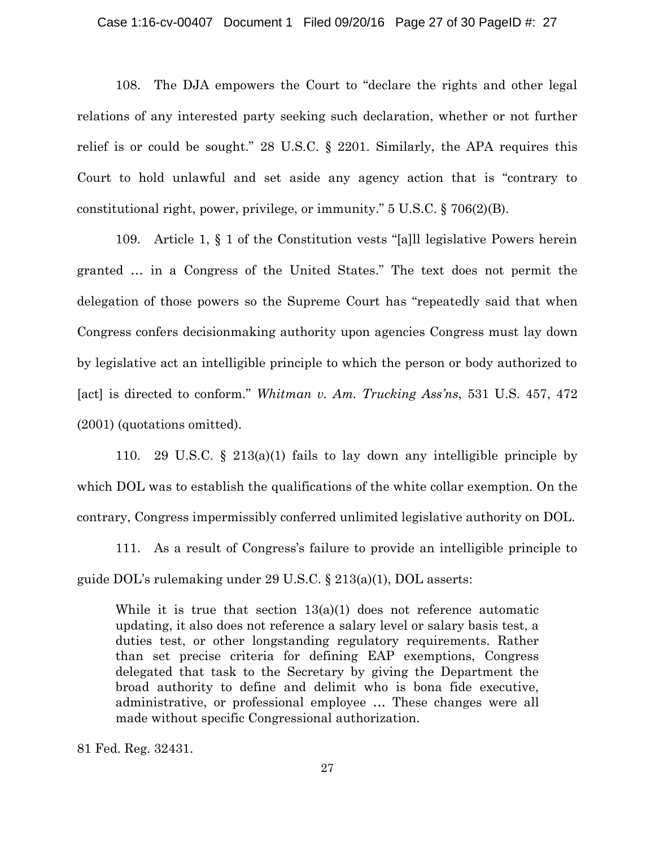#### Case 1:16-cv-00407 Document 1 Filed 09/20/16 Page 27 of 30 PageID #: 27

108. The DJA empowers the Court to "declare the rights and other legal relations of any interested party seeking such declaration, whether or not further relief is or could be sought." 28 U.S.C. § 2201. Similarly, the APA requires this Court to hold unlawful and set aside any agency action that is "contrary to constitutional right, power, privilege, or immunity." 5 U.S.C. § 706(2)(B).

109. Article 1, § 1 of the Constitution vests "[a]ll legislative Powers herein granted … in a Congress of the United States." The text does not permit the delegation of those powers so the Supreme Court has "repeatedly said that when Congress confers decisionmaking authority upon agencies Congress must lay down by legislative act an intelligible principle to which the person or body authorized to [act] is directed to conform." *Whitman v. Am. Trucking Ass'ns*, 531 U.S. 457, 472 (2001) (quotations omitted).

110. 29 U.S.C. § 213(a)(1) fails to lay down any intelligible principle by which DOL was to establish the qualifications of the white collar exemption. On the contrary, Congress impermissibly conferred unlimited legislative authority on DOL.

111. As a result of Congress's failure to provide an intelligible principle to guide DOL's rulemaking under 29 U.S.C. § 213(a)(1), DOL asserts:

While it is true that section  $13(a)(1)$  does not reference automatic updating, it also does not reference a salary level or salary basis test, a duties test, or other longstanding regulatory requirements. Rather than set precise criteria for defining EAP exemptions, Congress delegated that task to the Secretary by giving the Department the broad authority to define and delimit who is bona fide executive, administrative, or professional employee … These changes were all made without specific Congressional authorization.

81 Fed. Reg. 32431.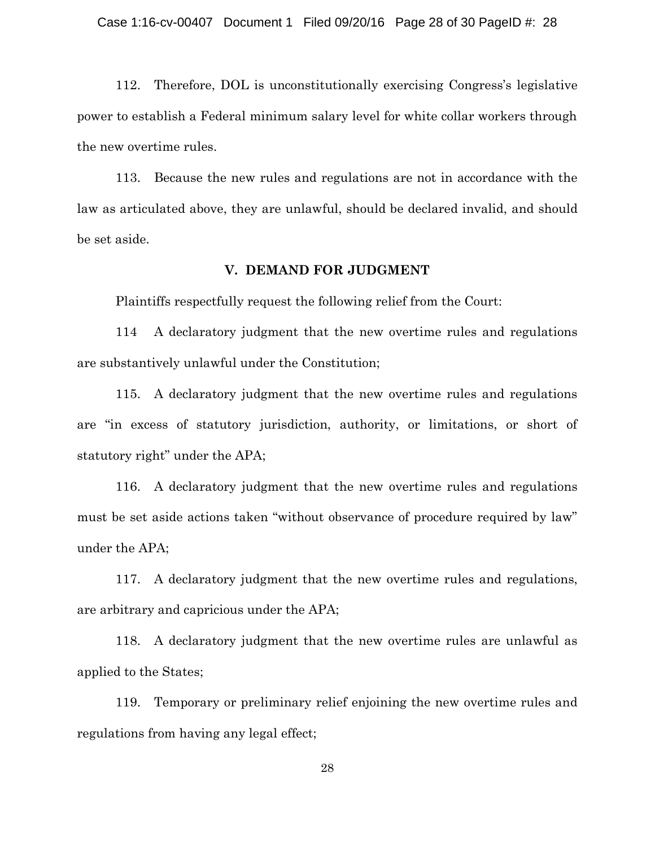112. Therefore, DOL is unconstitutionally exercising Congress's legislative power to establish a Federal minimum salary level for white collar workers through the new overtime rules.

113. Because the new rules and regulations are not in accordance with the law as articulated above, they are unlawful, should be declared invalid, and should be set aside.

## **V. DEMAND FOR JUDGMENT**

Plaintiffs respectfully request the following relief from the Court:

114 A declaratory judgment that the new overtime rules and regulations are substantively unlawful under the Constitution;

115. A declaratory judgment that the new overtime rules and regulations are "in excess of statutory jurisdiction, authority, or limitations, or short of statutory right" under the APA;

116. A declaratory judgment that the new overtime rules and regulations must be set aside actions taken "without observance of procedure required by law" under the APA;

117. A declaratory judgment that the new overtime rules and regulations, are arbitrary and capricious under the APA;

118. A declaratory judgment that the new overtime rules are unlawful as applied to the States;

119. Temporary or preliminary relief enjoining the new overtime rules and regulations from having any legal effect;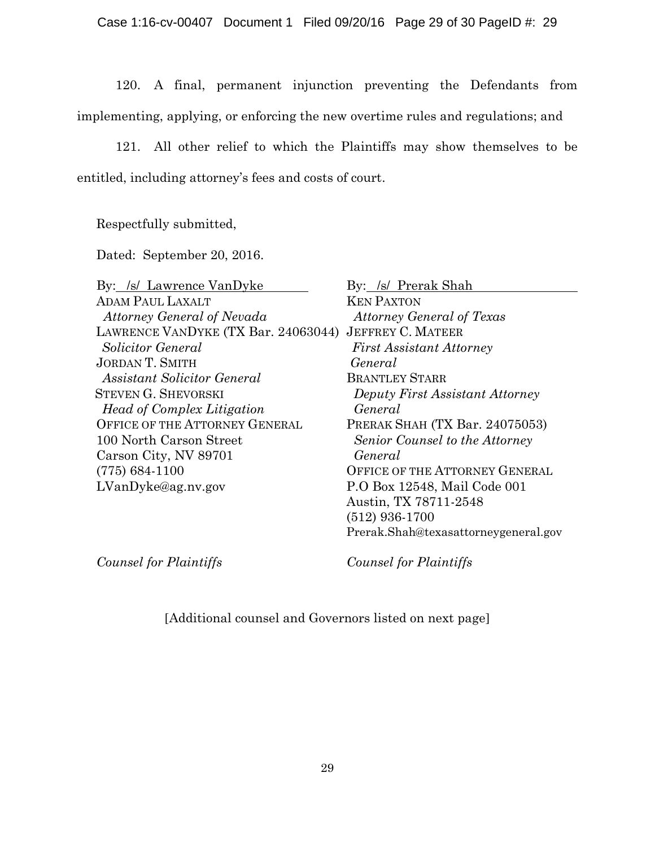120. A final, permanent injunction preventing the Defendants from implementing, applying, or enforcing the new overtime rules and regulations; and

121. All other relief to which the Plaintiffs may show themselves to be entitled, including attorney's fees and costs of court.

Respectfully submitted,

Dated: September 20, 2016.

| By: /s/ Lawrence VanDyke              | By: /s/ Prerak Shah                   |
|---------------------------------------|---------------------------------------|
| <b>ADAM PAUL LAXALT</b>               | <b>KEN PAXTON</b>                     |
| <b>Attorney General of Nevada</b>     | <b>Attorney General of Texas</b>      |
| LAWRENCE VANDYKE (TX Bar. 24063044)   | <b>JEFFREY C. MATEER</b>              |
| Solicitor General                     | <b>First Assistant Attorney</b>       |
| <b>JORDAN T. SMITH</b>                | General                               |
| <b>Assistant Solicitor General</b>    | <b>BRANTLEY STARR</b>                 |
| <b>STEVEN G. SHEVORSKI</b>            | Deputy First Assistant Attorney       |
| <b>Head of Complex Litigation</b>     | General                               |
| <b>OFFICE OF THE ATTORNEY GENERAL</b> | PRERAK SHAH (TX Bar. 24075053)        |
| 100 North Carson Street               | Senior Counsel to the Attorney        |
| Carson City, NV 89701                 | General                               |
| $(775) 684-1100$                      | <b>OFFICE OF THE ATTORNEY GENERAL</b> |
| LVanDyke@ag.nv.gov                    | P.O Box 12548, Mail Code 001          |
|                                       | Austin, TX 78711-2548                 |
|                                       | (512) 936-1700                        |

*Counsel for Plaintiffs Counsel for Plaintiffs*

Prerak.Shah@texasattorneygeneral.gov

[Additional counsel and Governors listed on next page]